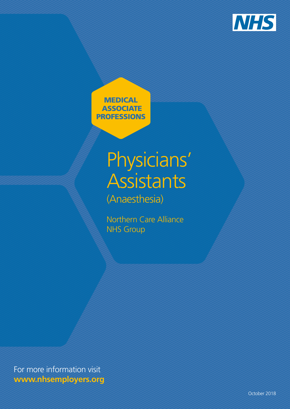

**MEDICAL ASSOCIATE** PROFESSIONS

# Physicians' **Assistants** (Anaesthesia)

Northern Care Alliance NHS Group

For more information visit **www.nhsemployers.org**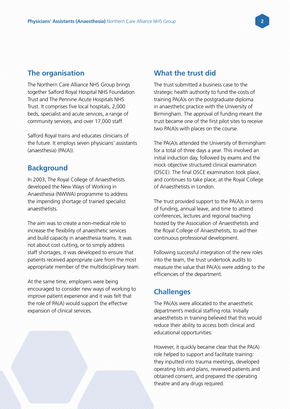## **The organisation**

The Northern Care Alliance NHS Group brings together Salford Royal Hospital NHS Foundation Trust and The Pennine Acute Hospitals NHS Trust. It comprises five local hospitals, 2,000 beds, specialist and acute services, a range of community services, and over 17,000 staff.

Salford Royal trains and educates clinicians of the future. It employs seven physicians' assistants (anaesthesia) (PA(A)).

## **Background**

In 2003, The Royal College of Anaesthetists developed the New Ways of Working in Anaesthesia (NWWA) programme to address the impending shortage of trained specialist anaesthetists.

The aim was to create a non-medical role to increase the flexibility of anaesthetic services and build capacity in anaesthesia teams. It was not about cost cutting, or to simply address staff shortages, it was developed to ensure that patients received appropriate care from the most appropriate member of the multidisciplinary team.

At the same time, employers were being encouraged to consider new ways of working to improve patient experience and it was felt that the role of PA(A) would support the effective expansion of clinical services.

# **What the trust did**

The trust submitted a business case to the strategic health authority to fund the costs of training PA(A)s on the postgraduate diploma in anaesthetic practice with the University of Birmingham. The approval of funding meant the trust became one of the first pilot sites to receive two PA(A)s with places on the course.

The PA(A)s attended the University of Birmingham for a total of three days a year. This involved an initial induction day, followed by exams and the mock objective structured clinical examination (OSCE). The final OSCE examination took place, and continues to take place, at the Royal College of Anaesthetists in London.

The trust provided support to the PA(A)s in terms of funding, annual leave, and time to attend conferences, lectures and regional teaching hosted by the Association of Anaesthetists and the Royal College of Anaesthetists, to aid their continuous professional development.

Following successful integration of the new roles into the team, the trust undertook audits to measure the value that PA(A)s were adding to the efficiencies of the department.

## **Challenges**

The PA(A)s were allocated to the anaesthetic department's medical staffing rota. Initially anaesthetists in training believed that this would reduce their ability to access both clinical and educational opportunities.

However, it quickly became clear that the PA(A) role helped to support and facilitate training: they inputted into trauma meetings, developed operating lists and plans, reviewed patients and obtained consent, and prepared the operating theatre and any drugs required.